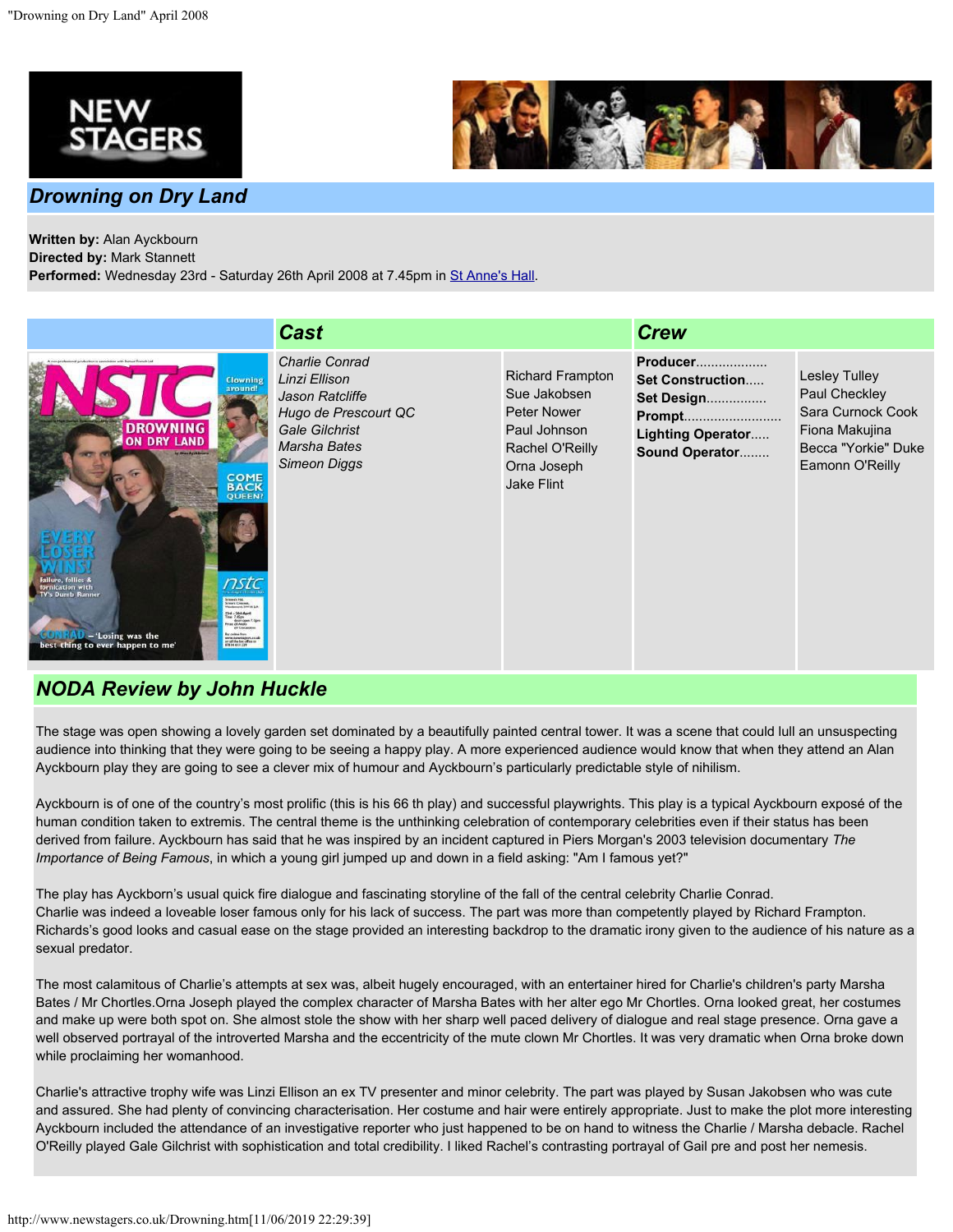

## *Drowning on Dry Land*



**Written by:** Alan Ayckbourn **Directed by:** Mark Stannett

Performed: Wednesday 23rd - Saturday 26th April 2008 at 7.45pm in [St Anne's Hall](http://www.newstagers.co.uk/directions.html).

|                                                                                                                                                                                                                                                                                                                                                                                                                                                                      | <b>Cast</b>                                                                                                                                |                                                                                                                               | <b>Crew</b>                                                                                                      |                                                                                                                        |
|----------------------------------------------------------------------------------------------------------------------------------------------------------------------------------------------------------------------------------------------------------------------------------------------------------------------------------------------------------------------------------------------------------------------------------------------------------------------|--------------------------------------------------------------------------------------------------------------------------------------------|-------------------------------------------------------------------------------------------------------------------------------|------------------------------------------------------------------------------------------------------------------|------------------------------------------------------------------------------------------------------------------------|
| <b>Avis</b><br><b>Clowning</b><br>around!<br><b>IAND</b><br><b>Calling Avenue</b><br><b>COME</b><br><b>BACK</b><br><b>QUEEN!</b><br>nstc<br>School Hd.<br>St Aus's Createst.<br>Washington, 1997 in 2014<br>Tird - Strik April<br>Time: 7 (Cons.)<br>doors open 7.3<br><b>Har Of Adults</b><br>44 Coucasses<br>- 'Losing was the<br><b>Box college Road</b><br>www.tewstapet.co.uk<br>or calified to collect on<br>#1914.411.229<br>best thing to ever happen to me' | <b>Charlie Conrad</b><br>Linzi Ellison<br>Jason Ratcliffe<br>Hugo de Prescourt QC<br>Gale Gilchrist<br>Marsha Bates<br><b>Simeon Diggs</b> | <b>Richard Frampton</b><br>Sue Jakobsen<br>Peter Nower<br>Paul Johnson<br>Rachel O'Reilly<br>Orna Joseph<br><b>Jake Flint</b> | Producer<br><b>Set Construction</b><br>Set Design<br><b>Prompt</b><br><b>Lighting Operator</b><br>Sound Operator | <b>Lesley Tulley</b><br>Paul Checkley<br>Sara Curnock Cook<br>Fiona Makujina<br>Becca "Yorkie" Duke<br>Eamonn O'Reilly |

## *NODA Review by John Huckle*

The stage was open showing a lovely garden set dominated by a beautifully painted central tower. It was a scene that could lull an unsuspecting audience into thinking that they were going to be seeing a happy play. A more experienced audience would know that when they attend an Alan Ayckbourn play they are going to see a clever mix of humour and Ayckbourn's particularly predictable style of nihilism.

Ayckbourn is of one of the country's most prolific (this is his 66 th play) and successful playwrights. This play is a typical Ayckbourn exposé of the human condition taken to extremis. The central theme is the unthinking celebration of contemporary celebrities even if their status has been derived from failure. Ayckbourn has said that he was inspired by an incident captured in Piers Morgan's 2003 television documentary *The Importance of Being Famous*, in which a young girl jumped up and down in a field asking: "Am I famous yet?"

The play has Ayckborn's usual quick fire dialogue and fascinating storyline of the fall of the central celebrity Charlie Conrad. Charlie was indeed a loveable loser famous only for his lack of success. The part was more than competently played by Richard Frampton. Richards's good looks and casual ease on the stage provided an interesting backdrop to the dramatic irony given to the audience of his nature as a sexual predator.

The most calamitous of Charlie's attempts at sex was, albeit hugely encouraged, with an entertainer hired for Charlie's children's party Marsha Bates / Mr Chortles.Orna Joseph played the complex character of Marsha Bates with her alter ego Mr Chortles. Orna looked great, her costumes and make up were both spot on. She almost stole the show with her sharp well paced delivery of dialogue and real stage presence. Orna gave a well observed portrayal of the introverted Marsha and the eccentricity of the mute clown Mr Chortles. It was very dramatic when Orna broke down while proclaiming her womanhood.

Charlie's attractive trophy wife was Linzi Ellison an ex TV presenter and minor celebrity. The part was played by Susan Jakobsen who was cute and assured. She had plenty of convincing characterisation. Her costume and hair were entirely appropriate. Just to make the plot more interesting Ayckbourn included the attendance of an investigative reporter who just happened to be on hand to witness the Charlie / Marsha debacle. Rachel O'Reilly played Gale Gilchrist with sophistication and total credibility. I liked Rachel's contrasting portrayal of Gail pre and post her nemesis.